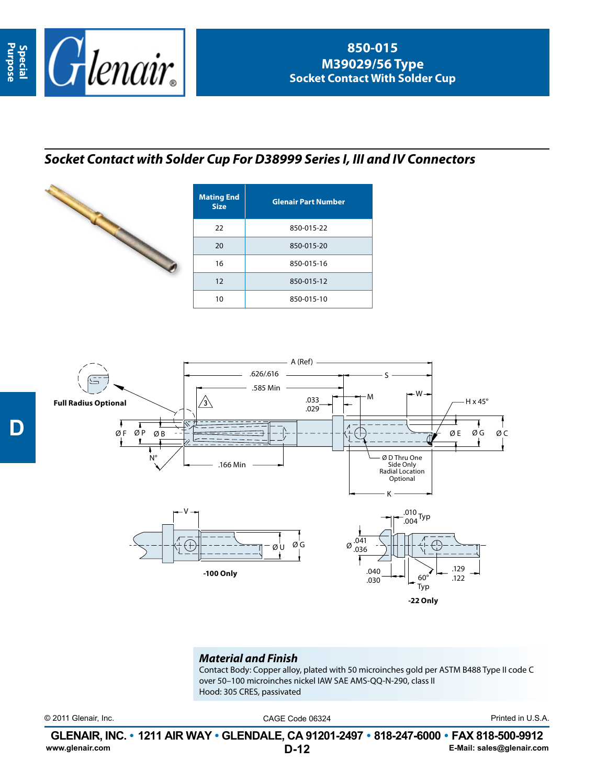

## *Socket Contact with Solder Cup For D38999 Series I, III and IV Connectors*



| <b>Mating End</b><br><b>Size</b> | <b>Glenair Part Number</b> |  |  |  |  |
|----------------------------------|----------------------------|--|--|--|--|
| 22                               | 850-015-22                 |  |  |  |  |
| 20                               | 850-015-20                 |  |  |  |  |
| 16                               | 850-015-16                 |  |  |  |  |
| 12                               | 850-015-12                 |  |  |  |  |
| 10                               | 850-015-10                 |  |  |  |  |



## *Material and Finish*

Contact Body: Copper alloy, plated with 50 microinches gold per ASTM B488 Type II code C over 50–100 microinches nickel IAW SAE AMS-QQ-N-290, class II Hood: 305 CRES, passivated

© 2011 Glenair, Inc. CAGE Code 06324 Printed in U.S.A.

**D-12 GLENAIR, INC. • 1211 AIR WAY • GLENDALE, CA 91201-2497 • 818-247-6000 • FAX 818-500-9912**<br>E-Mail: sales@glenair.com **www.glenair.com E-Mail: sales@glenair.com**